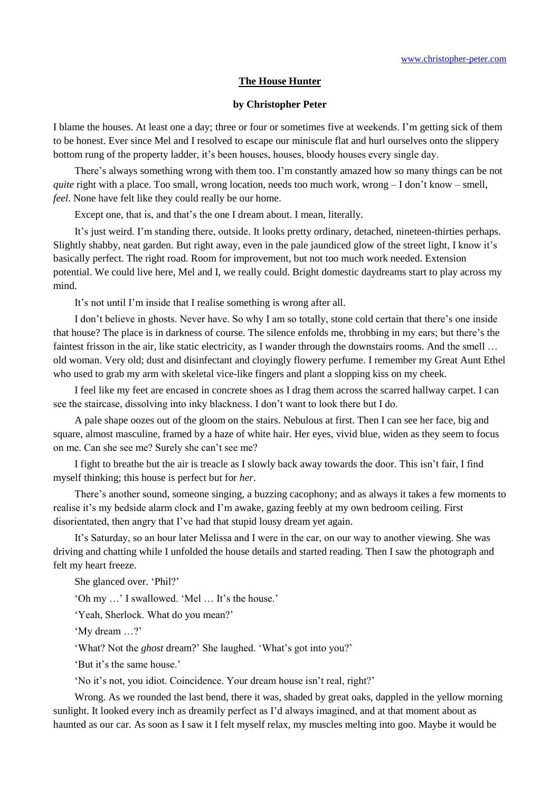## **The House Hunter**

## **by Christopher Peter**

I blame the houses. At least one a day; three or four or sometimes five at weekends. I'm getting sick of them to be honest. Ever since Mel and I resolved to escape our miniscule flat and hurl ourselves onto the slippery bottom rung of the property ladder, it's been houses, houses, bloody houses every single day.

There's always something wrong with them too. I'm constantly amazed how so many things can be not *quite* right with a place. Too small, wrong location, needs too much work, wrong – I don't know – smell, *feel*. None have felt like they could really be our home.

Except one, that is, and that's the one I dream about. I mean, literally.

It's just weird. I'm standing there, outside. It looks pretty ordinary, detached, nineteen-thirties perhaps. Slightly shabby, neat garden. But right away, even in the pale jaundiced glow of the street light, I know it's basically perfect. The right road. Room for improvement, but not too much work needed. Extension potential. We could live here, Mel and I, we really could. Bright domestic daydreams start to play across my mind.

It's not until I'm inside that I realise something is wrong after all.

I don't believe in ghosts. Never have. So why I am so totally, stone cold certain that there's one inside that house? The place is in darkness of course. The silence enfolds me, throbbing in my ears; but there's the faintest frisson in the air, like static electricity, as I wander through the downstairs rooms. And the smell ... old woman. Very old; dust and disinfectant and cloyingly flowery perfume. I remember my Great Aunt Ethel who used to grab my arm with skeletal vice-like fingers and plant a slopping kiss on my cheek.

I feel like my feet are encased in concrete shoes as I drag them across the scarred hallway carpet. I can see the staircase, dissolving into inky blackness. I don't want to look there but I do.

A pale shape oozes out of the gloom on the stairs. Nebulous at first. Then I can see her face, big and square, almost masculine, framed by a haze of white hair. Her eyes, vivid blue, widen as they seem to focus on me. Can she see me? Surely she can't see me?

I fight to breathe but the air is treacle as I slowly back away towards the door. This isn't fair, I find myself thinking; this house is perfect but for *her*.

There's another sound, someone singing, a buzzing cacophony; and as always it takes a few moments to realise it's my bedside alarm clock and I'm awake, gazing feebly at my own bedroom ceiling. First disorientated, then angry that I've had that stupid lousy dream yet again.

It's Saturday, so an hour later Melissa and I were in the car, on our way to another viewing. She was driving and chatting while I unfolded the house details and started reading. Then I saw the photograph and felt my heart freeze.

She glanced over. 'Phil?'

'Oh my …' I swallowed. 'Mel … It's the house.'

'Yeah, Sherlock. What do you mean?'

'My dream …?'

'What? Not the *ghost* dream?' She laughed. 'What's got into you?'

'But it's the same house.'

'No it's not, you idiot. Coincidence. Your dream house isn't real, right?'

Wrong. As we rounded the last bend, there it was, shaded by great oaks, dappled in the yellow morning sunlight. It looked every inch as dreamily perfect as I'd always imagined, and at that moment about as haunted as our car. As soon as I saw it I felt myself relax, my muscles melting into goo. Maybe it would be